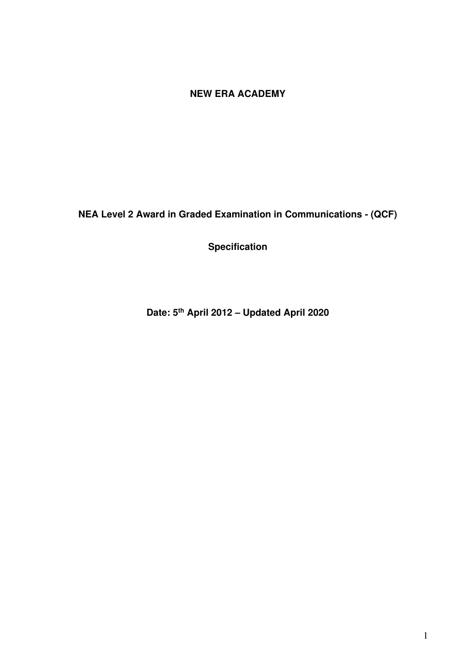# **NEW ERA ACADEMY**

**NEA Level 2 Award in Graded Examination in Communications - (QCF)** 

**Specification** 

**Date: 5th April 2012 – Updated April 2020**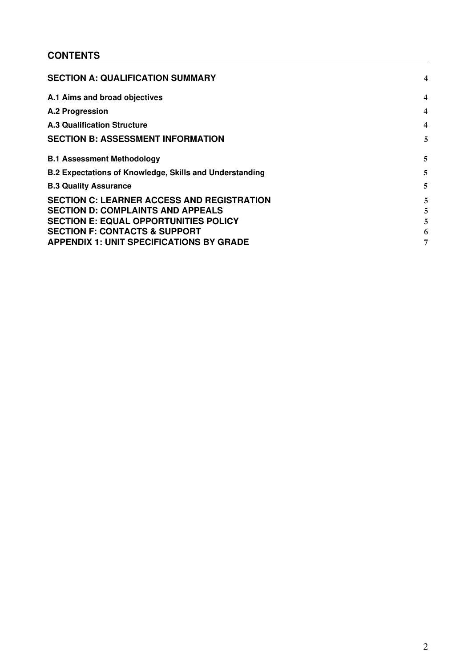## **CONTENTS**

| <b>SECTION A: QUALIFICATION SUMMARY</b>                        | 4                       |
|----------------------------------------------------------------|-------------------------|
| A.1 Aims and broad objectives                                  | 4                       |
| A.2 Progression                                                | 4                       |
| <b>A.3 Qualification Structure</b>                             | $\overline{\mathbf{4}}$ |
| <b>SECTION B: ASSESSMENT INFORMATION</b>                       | 5                       |
| <b>B.1 Assessment Methodology</b>                              | 5                       |
| <b>B.2 Expectations of Knowledge, Skills and Understanding</b> | 5                       |
| <b>B.3 Quality Assurance</b>                                   | 5                       |
| <b>SECTION C: LEARNER ACCESS AND REGISTRATION</b>              | 5                       |
| <b>SECTION D: COMPLAINTS AND APPEALS</b>                       | 5                       |
| <b>SECTION E: EQUAL OPPORTUNITIES POLICY</b>                   |                         |
| <b>SECTION F: CONTACTS &amp; SUPPORT</b>                       | 6                       |
| <b>APPENDIX 1: UNIT SPECIFICATIONS BY GRADE</b>                |                         |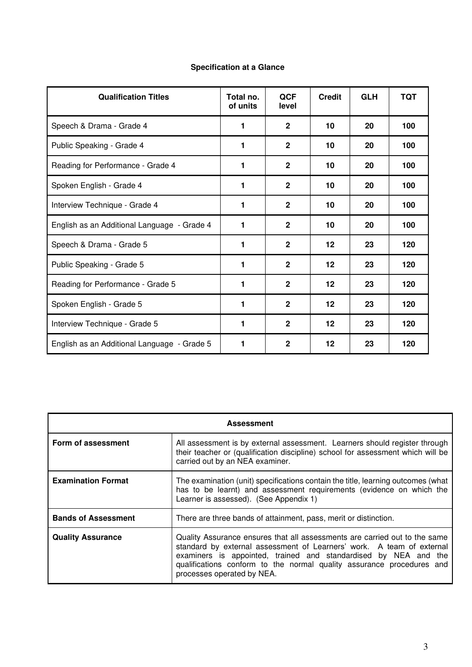| <b>Specification at a Glance</b> |  |  |
|----------------------------------|--|--|
|----------------------------------|--|--|

| <b>Qualification Titles</b>                 | Total no.<br>of units | <b>QCF</b><br>level | <b>Credit</b> | <b>GLH</b> | <b>TQT</b> |
|---------------------------------------------|-----------------------|---------------------|---------------|------------|------------|
| Speech & Drama - Grade 4                    | 1                     | $\mathbf{2}$        | 10            | 20         | 100        |
| Public Speaking - Grade 4                   | 1                     | $\overline{2}$      | 10            | 20         | 100        |
| Reading for Performance - Grade 4           | 1                     | $\mathbf{2}$        | 10            | 20         | 100        |
| Spoken English - Grade 4                    | 1                     | $\mathbf{2}$        | 10            | 20         | 100        |
| Interview Technique - Grade 4               | 1                     | $\mathbf{2}$        | 10            | 20         | 100        |
| English as an Additional Language - Grade 4 | 1                     | $\mathbf{2}$        | 10            | 20         | 100        |
| Speech & Drama - Grade 5                    | 1                     | $\mathbf{2}$        | 12            | 23         | 120        |
| Public Speaking - Grade 5                   | 1                     | $\mathbf{2}$        | 12            | 23         | 120        |
| Reading for Performance - Grade 5           | 1                     | $\mathbf{2}$        | 12            | 23         | 120        |
| Spoken English - Grade 5                    | 1                     | $\mathbf{2}$        | 12            | 23         | 120        |
| Interview Technique - Grade 5               | 1                     | $\mathbf{2}$        | 12            | 23         | 120        |
| English as an Additional Language - Grade 5 | 1                     | $\overline{2}$      | 12            | 23         | 120        |

| <b>Assessment</b>                                                                                                                                                                                                                                                                                                                                         |                                                                                                                                                                                                    |  |  |  |  |  |
|-----------------------------------------------------------------------------------------------------------------------------------------------------------------------------------------------------------------------------------------------------------------------------------------------------------------------------------------------------------|----------------------------------------------------------------------------------------------------------------------------------------------------------------------------------------------------|--|--|--|--|--|
| Form of assessment                                                                                                                                                                                                                                                                                                                                        | All assessment is by external assessment. Learners should register through<br>their teacher or (qualification discipline) school for assessment which will be<br>carried out by an NEA examiner.   |  |  |  |  |  |
| <b>Examination Format</b>                                                                                                                                                                                                                                                                                                                                 | The examination (unit) specifications contain the title, learning outcomes (what<br>has to be learnt) and assessment requirements (evidence on which the<br>Learner is assessed). (See Appendix 1) |  |  |  |  |  |
| <b>Bands of Assessment</b>                                                                                                                                                                                                                                                                                                                                | There are three bands of attainment, pass, merit or distinction.                                                                                                                                   |  |  |  |  |  |
| Quality Assurance ensures that all assessments are carried out to the same<br><b>Quality Assurance</b><br>standard by external assessment of Learners' work. A team of external<br>examiners is appointed, trained and standardised by NEA and the<br>qualifications conform to the normal quality assurance procedures and<br>processes operated by NEA. |                                                                                                                                                                                                    |  |  |  |  |  |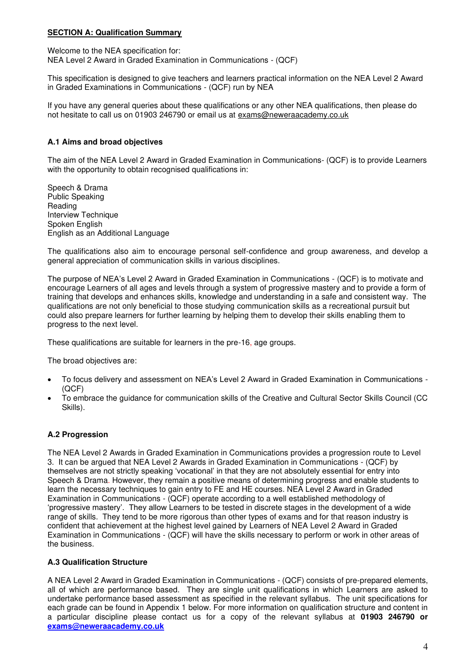## <span id="page-3-0"></span>**SECTION A: Qualification Summary**

Welcome to the NEA specification for: NEA Level 2 Award in Graded Examination in Communications - (QCF)

This specification is designed to give teachers and learners practical information on the NEA Level 2 Award in Graded Examinations in Communications - (QCF) run by NEA

If you have any general queries about these qualifications or any other NEA qualifications, then please do not hesitate to call us on 01903 246790 or email us at exams@neweraacademy.co.uk

## <span id="page-3-1"></span>**A.1 Aims and broad objectives**

The aim of the NEA Level 2 Award in Graded Examination in Communications- (QCF) is to provide Learners with the opportunity to obtain recognised qualifications in:

Speech & Drama Public Speaking **Reading** Interview Technique Spoken English English as an Additional Language

The qualifications also aim to encourage personal self-confidence and group awareness, and develop a general appreciation of communication skills in various disciplines.

The purpose of NEA's Level 2 Award in Graded Examination in Communications - (QCF) is to motivate and encourage Learners of all ages and levels through a system of progressive mastery and to provide a form of training that develops and enhances skills, knowledge and understanding in a safe and consistent way. The qualifications are not only beneficial to those studying communication skills as a recreational pursuit but could also prepare learners for further learning by helping them to develop their skills enabling them to progress to the next level.

These qualifications are suitable for learners in the pre-16, age groups.

The broad objectives are:

- To focus delivery and assessment on NEA's Level 2 Award in Graded Examination in Communications (QCF)
- To embrace the guidance for communication skills of the Creative and Cultural Sector Skills Council (CC Skills).

#### <span id="page-3-2"></span>**A.2 Progression**

The NEA Level 2 Awards in Graded Examination in Communications provides a progression route to Level 3. It can be argued that NEA Level 2 Awards in Graded Examination in Communications - (QCF) by themselves are not strictly speaking 'vocational' in that they are not absolutely essential for entry into Speech & Drama. However, they remain a positive means of determining progress and enable students to learn the necessary techniques to gain entry to FE and HE courses. NEA Level 2 Award in Graded Examination in Communications - (QCF) operate according to a well established methodology of 'progressive mastery'. They allow Learners to be tested in discrete stages in the development of a wide range of skills. They tend to be more rigorous than other types of exams and for that reason industry is confident that achievement at the highest level gained by Learners of NEA Level 2 Award in Graded Examination in Communications - (QCF) will have the skills necessary to perform or work in other areas of the business.

#### <span id="page-3-3"></span>**A.3 Qualification Structure**

A NEA Level 2 Award in Graded Examination in Communications - (QCF) consists of pre-prepared elements, all of which are performance based. They are single unit qualifications in which Learners are asked to undertake performance based assessment as specified in the relevant syllabus. The unit specifications for each grade can be found in Appendix 1 below. For more information on qualification structure and content in a particular discipline please contact us for a copy of the relevant syllabus at **01903 246790 or [exams@neweraacademy.co.uk](mailto:exams@neweraacademy.co.uk)**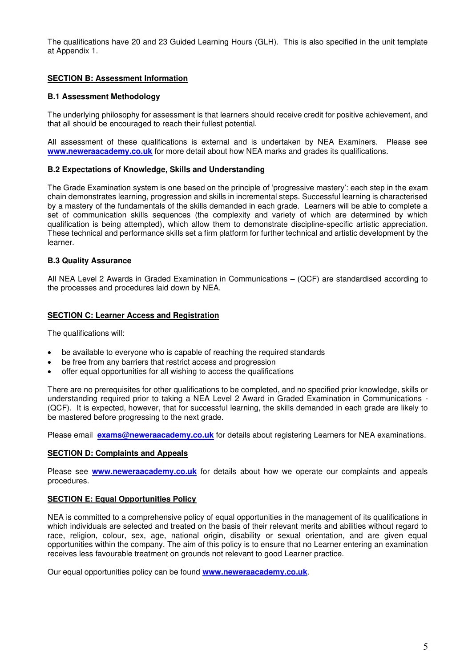The qualifications have 20 and 23 Guided Learning Hours (GLH). This is also specified in the unit template at Appendix 1.

## <span id="page-4-0"></span>**SECTION B: Assessment Information**

#### <span id="page-4-1"></span>**B.1 Assessment Methodology**

The underlying philosophy for assessment is that learners should receive credit for positive achievement, and that all should be encouraged to reach their fullest potential.

All assessment of these qualifications is external and is undertaken by NEA Examiners. Please see **[www.neweraacademy.co.uk](http://www.neweraacademy.co.uk/)** for more detail about how NEA marks and grades its qualifications.

#### <span id="page-4-2"></span>**B.2 Expectations of Knowledge, Skills and Understanding**

The Grade Examination system is one based on the principle of 'progressive mastery': each step in the exam chain demonstrates learning, progression and skills in incremental steps. Successful learning is characterised by a mastery of the fundamentals of the skills demanded in each grade. Learners will be able to complete a set of communication skills sequences (the complexity and variety of which are determined by which qualification is being attempted), which allow them to demonstrate discipline-specific artistic appreciation. These technical and performance skills set a firm platform for further technical and artistic development by the learner.

#### <span id="page-4-3"></span>**B.3 Quality Assurance**

All NEA Level 2 Awards in Graded Examination in Communications – (QCF) are standardised according to the processes and procedures laid down by NEA.

#### <span id="page-4-4"></span>**SECTION C: Learner Access and Registration**

The qualifications will:

- be available to everyone who is capable of reaching the required standards
- be free from any barriers that restrict access and progression
- offer equal opportunities for all wishing to access the qualifications

There are no prerequisites for other qualifications to be completed, and no specified prior knowledge, skills or understanding required prior to taking a NEA Level 2 Award in Graded Examination in Communications - (QCF). It is expected, however, that for successful learning, the skills demanded in each grade are likely to be mastered before progressing to the next grade.

Please email **[exams@neweraacademy.co.uk](mailto:exams@neweraacademy.co.uk)** for details about registering Learners for NEA examinations.

#### <span id="page-4-5"></span>**SECTION D: Complaints and Appeals**

Please see **[www.neweraacademy.co.uk](http://www.neweraacademy.co.uk/)** for details about how we operate our complaints and appeals procedures.

#### <span id="page-4-6"></span>**SECTION E: Equal Opportunities Policy**

NEA is committed to a comprehensive policy of equal opportunities in the management of its qualifications in which individuals are selected and treated on the basis of their relevant merits and abilities without regard to race, religion, colour, sex, age, national origin, disability or sexual orientation, and are given equal opportunities within the company. The aim of this policy is to ensure that no Learner entering an examination receives less favourable treatment on grounds not relevant to good Learner practice.

Our equal opportunities policy can be found **[www.neweraacademy.co.uk](http://www.neweraacademy.co.uk/)**.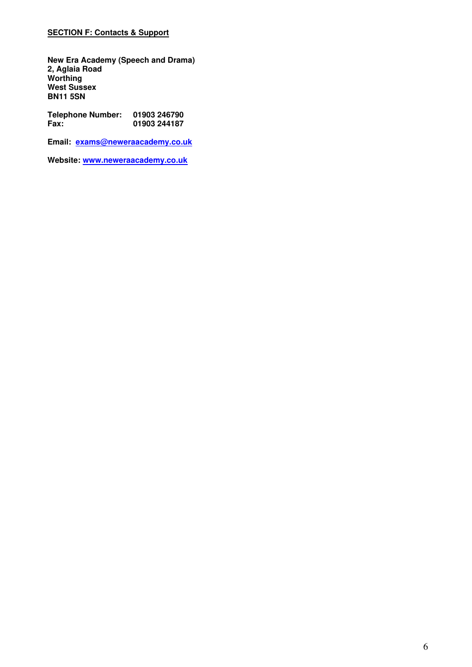## <span id="page-5-0"></span>**SECTION F: Contacts & Support**

**New Era Academy (Speech and Drama) 2, Aglaia Road Worthing West Sussex BN11 5SN** 

**Telephone Number: 01903 246790 Fax: 01903 244187** 

**Email: [exams@neweraacademy.co.uk](mailto:exams@neweraacademy.co.uk)** 

**Website: [www.neweraacademy.co.uk](http://www.neweraacademy.co.uk/)**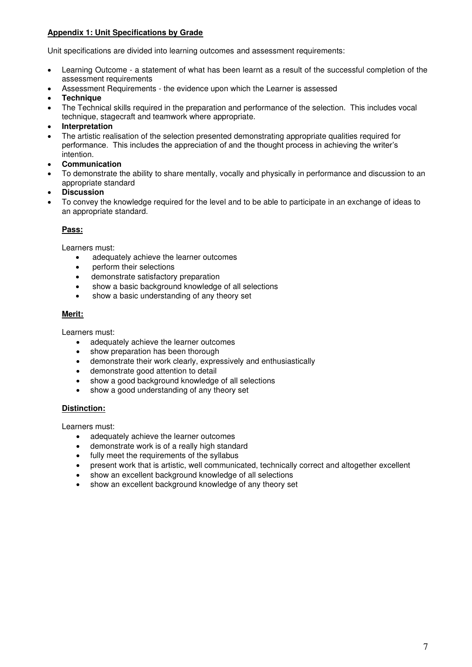## <span id="page-6-0"></span>**Appendix 1: Unit Specifications by Grade**

Unit specifications are divided into learning outcomes and assessment requirements:

- Learning Outcome a statement of what has been learnt as a result of the successful completion of the assessment requirements
- Assessment Requirements the evidence upon which the Learner is assessed
- **Technique**
- The Technical skills required in the preparation and performance of the selection. This includes vocal technique, stagecraft and teamwork where appropriate.
- **Interpretation**
- The artistic realisation of the selection presented demonstrating appropriate qualities required for performance. This includes the appreciation of and the thought process in achieving the writer's intention.
- **Communication**
- To demonstrate the ability to share mentally, vocally and physically in performance and discussion to an appropriate standard
- **Discussion**
- To convey the knowledge required for the level and to be able to participate in an exchange of ideas to an appropriate standard.

## **Pass:**

Learners must:

- adequately achieve the learner outcomes
- perform their selections
- demonstrate satisfactory preparation
- show a basic background knowledge of all selections
- show a basic understanding of any theory set

## **Merit:**

Learners must:

- adequately achieve the learner outcomes
- show preparation has been thorough
- demonstrate their work clearly, expressively and enthusiastically
- demonstrate good attention to detail
- show a good background knowledge of all selections
- show a good understanding of any theory set

## **Distinction:**

Learners must:

- adequately achieve the learner outcomes
- demonstrate work is of a really high standard
- fully meet the requirements of the syllabus
- present work that is artistic, well communicated, technically correct and altogether excellent
- show an excellent background knowledge of all selections
- show an excellent background knowledge of any theory set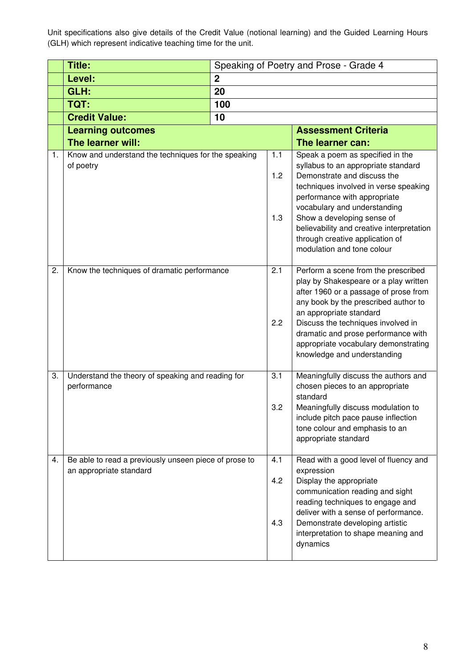Unit specifications also give details of the Credit Value (notional learning) and the Guided Learning Hours (GLH) which represent indicative teaching time for the unit.

|    | Title:                                                                           | Speaking of Poetry and Prose - Grade 4 |                         |                                                                                                                                                                                                                                                                                                                                                             |
|----|----------------------------------------------------------------------------------|----------------------------------------|-------------------------|-------------------------------------------------------------------------------------------------------------------------------------------------------------------------------------------------------------------------------------------------------------------------------------------------------------------------------------------------------------|
|    | Level:                                                                           | $\overline{2}$                         |                         |                                                                                                                                                                                                                                                                                                                                                             |
|    | GLH:                                                                             | 20                                     |                         |                                                                                                                                                                                                                                                                                                                                                             |
|    | TQT:                                                                             | 100                                    |                         |                                                                                                                                                                                                                                                                                                                                                             |
|    | <b>Credit Value:</b>                                                             | 10                                     |                         |                                                                                                                                                                                                                                                                                                                                                             |
|    | <b>Learning outcomes</b>                                                         |                                        |                         | <b>Assessment Criteria</b>                                                                                                                                                                                                                                                                                                                                  |
|    | The learner will:                                                                |                                        |                         | The learner can:                                                                                                                                                                                                                                                                                                                                            |
| 1. | Know and understand the techniques for the speaking<br>of poetry                 |                                        | 1.1<br>1.2<br>1.3       | Speak a poem as specified in the<br>syllabus to an appropriate standard<br>Demonstrate and discuss the<br>techniques involved in verse speaking<br>performance with appropriate<br>vocabulary and understanding<br>Show a developing sense of<br>believability and creative interpretation<br>through creative application of<br>modulation and tone colour |
| 2. | Know the techniques of dramatic performance                                      |                                        | $\overline{2.1}$<br>2.2 | Perform a scene from the prescribed<br>play by Shakespeare or a play written<br>after 1960 or a passage of prose from<br>any book by the prescribed author to<br>an appropriate standard<br>Discuss the techniques involved in<br>dramatic and prose performance with<br>appropriate vocabulary demonstrating<br>knowledge and understanding                |
| 3. | Understand the theory of speaking and reading for<br>performance                 |                                        | 3.1<br>3.2              | Meaningfully discuss the authors and<br>chosen pieces to an appropriate<br>standard<br>Meaningfully discuss modulation to<br>include pitch pace pause inflection<br>tone colour and emphasis to an<br>appropriate standard                                                                                                                                  |
| 4. | Be able to read a previously unseen piece of prose to<br>an appropriate standard |                                        | 4.1<br>4.2<br>4.3       | Read with a good level of fluency and<br>expression<br>Display the appropriate<br>communication reading and sight<br>reading techniques to engage and<br>deliver with a sense of performance.<br>Demonstrate developing artistic<br>interpretation to shape meaning and<br>dynamics                                                                         |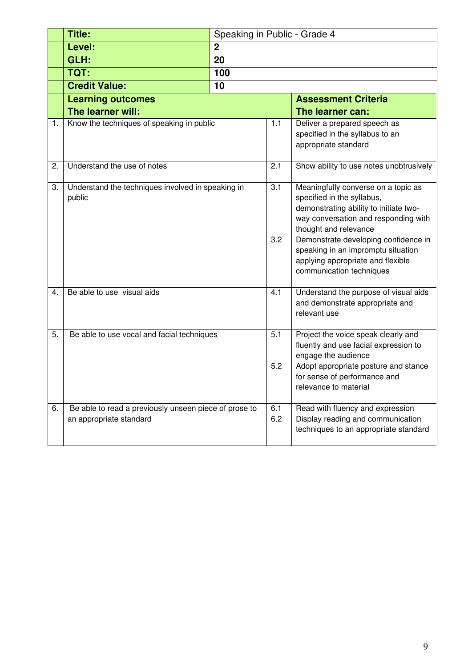|    | <b>Title:</b>                                                                    | Speaking in Public - Grade 4 |            |                                                                                                                                                                                                                                                                                                                             |  |
|----|----------------------------------------------------------------------------------|------------------------------|------------|-----------------------------------------------------------------------------------------------------------------------------------------------------------------------------------------------------------------------------------------------------------------------------------------------------------------------------|--|
|    | Level:                                                                           | $\boldsymbol{2}$             |            |                                                                                                                                                                                                                                                                                                                             |  |
|    | GLH:                                                                             | 20                           |            |                                                                                                                                                                                                                                                                                                                             |  |
|    | TQT:                                                                             | 100                          |            |                                                                                                                                                                                                                                                                                                                             |  |
|    | <b>Credit Value:</b>                                                             | 10                           |            |                                                                                                                                                                                                                                                                                                                             |  |
|    | <b>Learning outcomes</b>                                                         |                              |            | <b>Assessment Criteria</b>                                                                                                                                                                                                                                                                                                  |  |
|    | The learner will:                                                                |                              |            | The learner can:                                                                                                                                                                                                                                                                                                            |  |
| 1. | Know the techniques of speaking in public                                        |                              | 1.1        | Deliver a prepared speech as<br>specified in the syllabus to an<br>appropriate standard                                                                                                                                                                                                                                     |  |
| 2. | Understand the use of notes                                                      |                              | 2.1        | Show ability to use notes unobtrusively                                                                                                                                                                                                                                                                                     |  |
| 3. | Understand the techniques involved in speaking in<br>public                      |                              | 3.1<br>3.2 | Meaningfully converse on a topic as<br>specified in the syllabus,<br>demonstrating ability to initiate two-<br>way conversation and responding with<br>thought and relevance<br>Demonstrate developing confidence in<br>speaking in an impromptu situation<br>applying appropriate and flexible<br>communication techniques |  |
| 4. | Be able to use visual aids                                                       |                              | 4.1        | Understand the purpose of visual aids<br>and demonstrate appropriate and<br>relevant use                                                                                                                                                                                                                                    |  |
| 5. | Be able to use vocal and facial techniques                                       |                              | 5.1<br>5.2 | Project the voice speak clearly and<br>fluently and use facial expression to<br>engage the audience<br>Adopt appropriate posture and stance<br>for sense of performance and<br>relevance to material                                                                                                                        |  |
| 6. | Be able to read a previously unseen piece of prose to<br>an appropriate standard |                              | 6.1<br>6.2 | Read with fluency and expression<br>Display reading and communication<br>techniques to an appropriate standard                                                                                                                                                                                                              |  |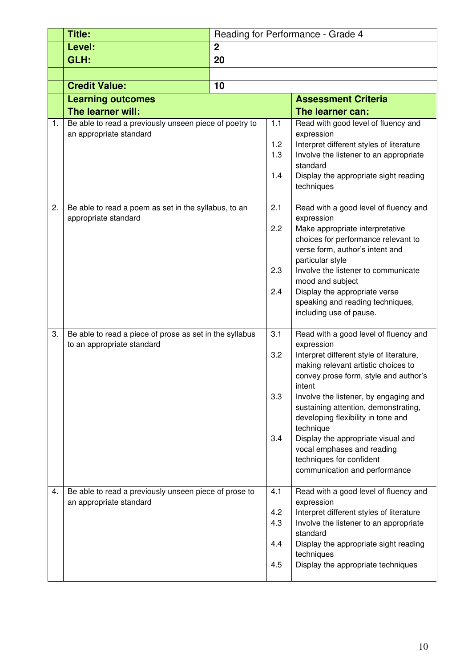|    | Title:                                                                                | Reading for Performance - Grade 4 |                                 |                                                                                                                                                                                                                                                                                                                                                                                                                                                                |  |
|----|---------------------------------------------------------------------------------------|-----------------------------------|---------------------------------|----------------------------------------------------------------------------------------------------------------------------------------------------------------------------------------------------------------------------------------------------------------------------------------------------------------------------------------------------------------------------------------------------------------------------------------------------------------|--|
|    | Level:                                                                                | $\boldsymbol{2}$                  |                                 |                                                                                                                                                                                                                                                                                                                                                                                                                                                                |  |
|    | GLH:                                                                                  | 20                                |                                 |                                                                                                                                                                                                                                                                                                                                                                                                                                                                |  |
|    |                                                                                       |                                   |                                 |                                                                                                                                                                                                                                                                                                                                                                                                                                                                |  |
|    | <b>Credit Value:</b>                                                                  | 10                                |                                 |                                                                                                                                                                                                                                                                                                                                                                                                                                                                |  |
|    | <b>Learning outcomes</b>                                                              |                                   |                                 | <b>Assessment Criteria</b>                                                                                                                                                                                                                                                                                                                                                                                                                                     |  |
|    | The learner will:                                                                     |                                   |                                 | The learner can:                                                                                                                                                                                                                                                                                                                                                                                                                                               |  |
| 1. | Be able to read a previously unseen piece of poetry to<br>an appropriate standard     |                                   | $1.1$<br>1.2<br>1.3<br>1.4      | Read with good level of fluency and<br>expression<br>Interpret different styles of literature<br>Involve the listener to an appropriate<br>standard<br>Display the appropriate sight reading<br>techniques                                                                                                                                                                                                                                                     |  |
| 2. | Be able to read a poem as set in the syllabus, to an<br>appropriate standard          |                                   | 2.1<br>2.2<br>2.3<br>2.4        | Read with a good level of fluency and<br>expression<br>Make appropriate interpretative<br>choices for performance relevant to<br>verse form, author's intent and<br>particular style<br>Involve the listener to communicate<br>mood and subject<br>Display the appropriate verse<br>speaking and reading techniques,<br>including use of pause.                                                                                                                |  |
| 3. | Be able to read a piece of prose as set in the syllabus<br>to an appropriate standard |                                   | 3.1<br>3.2<br>3.3<br>3.4        | Read with a good level of fluency and<br>expression<br>Interpret different style of literature,<br>making relevant artistic choices to<br>convey prose form, style and author's<br>intent<br>Involve the listener, by engaging and<br>sustaining attention, demonstrating,<br>developing flexibility in tone and<br>technique<br>Display the appropriate visual and<br>vocal emphases and reading<br>techniques for confident<br>communication and performance |  |
| 4. | Be able to read a previously unseen piece of prose to<br>an appropriate standard      |                                   | 4.1<br>4.2<br>4.3<br>4.4<br>4.5 | Read with a good level of fluency and<br>expression<br>Interpret different styles of literature<br>Involve the listener to an appropriate<br>standard<br>Display the appropriate sight reading<br>techniques<br>Display the appropriate techniques                                                                                                                                                                                                             |  |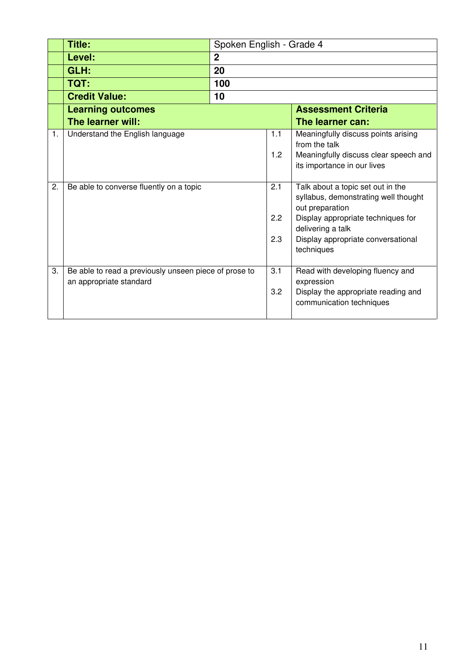|    | Title:                                                                           | Spoken English - Grade 4 |     |                                                                                              |  |
|----|----------------------------------------------------------------------------------|--------------------------|-----|----------------------------------------------------------------------------------------------|--|
|    | Level:                                                                           | $\overline{2}$           |     |                                                                                              |  |
|    | GLH:                                                                             | 20                       |     |                                                                                              |  |
|    | TQT:                                                                             | 100                      |     |                                                                                              |  |
|    | <b>Credit Value:</b>                                                             | 10                       |     |                                                                                              |  |
|    | <b>Learning outcomes</b>                                                         |                          |     | <b>Assessment Criteria</b>                                                                   |  |
|    | The learner will:                                                                |                          |     | The learner can:                                                                             |  |
| 1. | Understand the English language                                                  |                          | 1.1 | Meaningfully discuss points arising<br>from the talk                                         |  |
|    |                                                                                  |                          | 1.2 | Meaningfully discuss clear speech and<br>its importance in our lives                         |  |
| 2. | Be able to converse fluently on a topic                                          |                          | 2.1 | Talk about a topic set out in the<br>syllabus, demonstrating well thought<br>out preparation |  |
|    |                                                                                  |                          | 2.2 | Display appropriate techniques for<br>delivering a talk                                      |  |
|    |                                                                                  |                          | 2.3 | Display appropriate conversational<br>techniques                                             |  |
| 3. | Be able to read a previously unseen piece of prose to<br>an appropriate standard |                          | 3.1 | Read with developing fluency and<br>expression                                               |  |
|    |                                                                                  |                          | 3.2 | Display the appropriate reading and<br>communication techniques                              |  |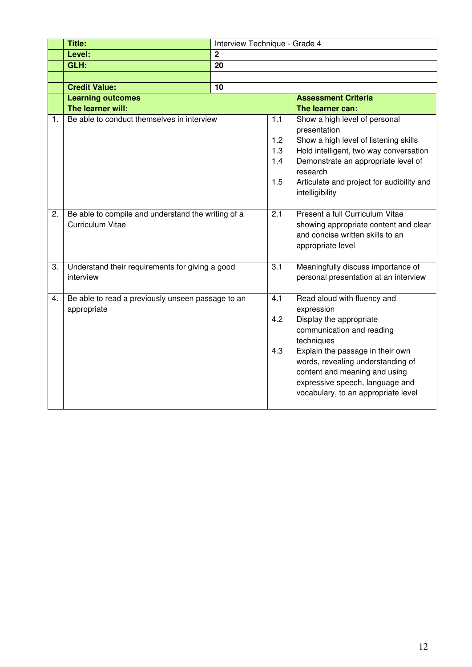|    | <b>Title:</b>                                      | Interview Technique - Grade 4 |            |                                                                                        |
|----|----------------------------------------------------|-------------------------------|------------|----------------------------------------------------------------------------------------|
|    | Level:                                             | $\overline{2}$                |            |                                                                                        |
|    | GLH:                                               | $\overline{20}$               |            |                                                                                        |
|    |                                                    |                               |            |                                                                                        |
|    | <b>Credit Value:</b>                               | 10                            |            |                                                                                        |
|    | <b>Learning outcomes</b>                           |                               |            | <b>Assessment Criteria</b>                                                             |
|    | The learner will:                                  |                               |            | The learner can:                                                                       |
| 1. | Be able to conduct themselves in interview         |                               | 1.1<br>1.2 | Show a high level of personal<br>presentation<br>Show a high level of listening skills |
|    |                                                    |                               | 1.3        | Hold intelligent, two way conversation                                                 |
|    |                                                    |                               | 1.4        | Demonstrate an appropriate level of                                                    |
|    |                                                    |                               |            | research                                                                               |
|    |                                                    |                               | 1.5        | Articulate and project for audibility and<br>intelligibility                           |
| 2. | Be able to compile and understand the writing of a |                               | 2.1        | Present a full Curriculum Vitae                                                        |
|    | <b>Curriculum Vitae</b>                            |                               |            | showing appropriate content and clear                                                  |
|    |                                                    |                               |            | and concise written skills to an                                                       |
|    |                                                    |                               |            | appropriate level                                                                      |
|    |                                                    |                               |            |                                                                                        |
| 3. | Understand their requirements for giving a good    |                               | 3.1        | Meaningfully discuss importance of                                                     |
|    | interview                                          |                               |            | personal presentation at an interview                                                  |
|    |                                                    |                               |            |                                                                                        |
| 4. | Be able to read a previously unseen passage to an  |                               | 4.1        | Read aloud with fluency and                                                            |
|    | appropriate                                        |                               |            | expression                                                                             |
|    |                                                    |                               | 4.2        | Display the appropriate                                                                |
|    |                                                    |                               |            | communication and reading                                                              |
|    |                                                    |                               |            | techniques                                                                             |
|    |                                                    |                               | 4.3        | Explain the passage in their own                                                       |
|    |                                                    |                               |            | words, revealing understanding of                                                      |
|    |                                                    |                               |            | content and meaning and using                                                          |
|    |                                                    |                               |            | expressive speech, language and                                                        |
|    |                                                    |                               |            | vocabulary, to an appropriate level                                                    |
|    |                                                    |                               |            |                                                                                        |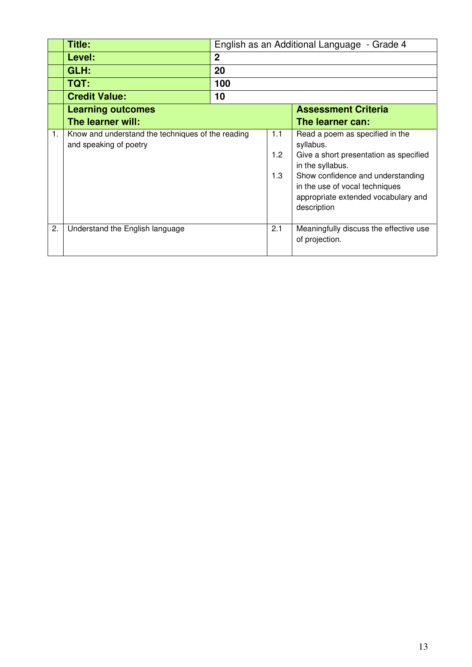|    | Title:                                                                      |                | English as an Additional Language - Grade 4 |                                                                                                                                                                                                                                         |  |  |
|----|-----------------------------------------------------------------------------|----------------|---------------------------------------------|-----------------------------------------------------------------------------------------------------------------------------------------------------------------------------------------------------------------------------------------|--|--|
|    | Level:                                                                      | $\overline{2}$ |                                             |                                                                                                                                                                                                                                         |  |  |
|    | GLH:                                                                        | 20             |                                             |                                                                                                                                                                                                                                         |  |  |
|    | <b>TQT:</b>                                                                 | 100            |                                             |                                                                                                                                                                                                                                         |  |  |
|    | <b>Credit Value:</b>                                                        | 10             |                                             |                                                                                                                                                                                                                                         |  |  |
|    | <b>Learning outcomes</b>                                                    |                |                                             | <b>Assessment Criteria</b>                                                                                                                                                                                                              |  |  |
|    | The learner will:                                                           |                |                                             | The learner can:                                                                                                                                                                                                                        |  |  |
| 1. | Know and understand the techniques of the reading<br>and speaking of poetry |                | 1.1<br>1.2<br>1.3                           | Read a poem as specified in the<br>syllabus.<br>Give a short presentation as specified<br>in the syllabus.<br>Show confidence and understanding<br>in the use of vocal techniques<br>appropriate extended vocabulary and<br>description |  |  |
| 2. | Understand the English language                                             |                | 2.1                                         | Meaningfully discuss the effective use<br>of projection.                                                                                                                                                                                |  |  |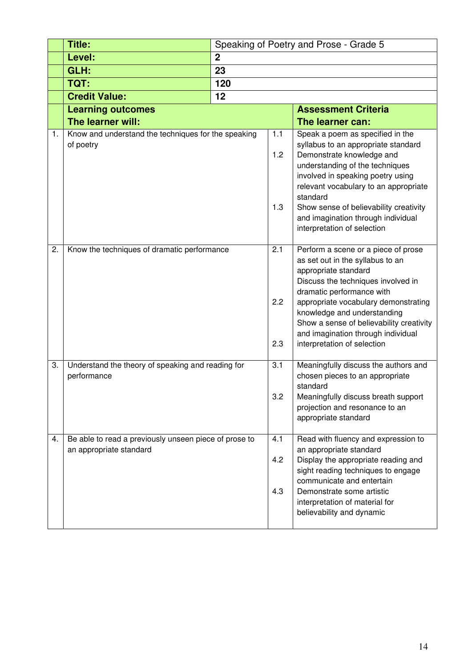|    | <b>Title:</b>                                                                    |                  |                   | Speaking of Poetry and Prose - Grade 5                                                                                                                                                                                                                                                                                                                                                    |  |  |
|----|----------------------------------------------------------------------------------|------------------|-------------------|-------------------------------------------------------------------------------------------------------------------------------------------------------------------------------------------------------------------------------------------------------------------------------------------------------------------------------------------------------------------------------------------|--|--|
|    | Level:                                                                           | $\boldsymbol{2}$ |                   |                                                                                                                                                                                                                                                                                                                                                                                           |  |  |
|    | GLH:                                                                             | 23               |                   |                                                                                                                                                                                                                                                                                                                                                                                           |  |  |
|    | TQT:                                                                             | 120              |                   |                                                                                                                                                                                                                                                                                                                                                                                           |  |  |
|    | <b>Credit Value:</b>                                                             | 12               |                   |                                                                                                                                                                                                                                                                                                                                                                                           |  |  |
|    | <b>Learning outcomes</b>                                                         |                  |                   | <b>Assessment Criteria</b>                                                                                                                                                                                                                                                                                                                                                                |  |  |
|    | The learner will:                                                                |                  |                   | The learner can:                                                                                                                                                                                                                                                                                                                                                                          |  |  |
| 1. | Know and understand the techniques for the speaking<br>of poetry                 |                  | 1.1<br>1.2<br>1.3 | Speak a poem as specified in the<br>syllabus to an appropriate standard<br>Demonstrate knowledge and<br>understanding of the techniques<br>involved in speaking poetry using<br>relevant vocabulary to an appropriate<br>standard<br>Show sense of believability creativity<br>and imagination through individual                                                                         |  |  |
| 2. | Know the techniques of dramatic performance                                      |                  | 2.1<br>2.2<br>2.3 | interpretation of selection<br>Perform a scene or a piece of prose<br>as set out in the syllabus to an<br>appropriate standard<br>Discuss the techniques involved in<br>dramatic performance with<br>appropriate vocabulary demonstrating<br>knowledge and understanding<br>Show a sense of believability creativity<br>and imagination through individual<br>interpretation of selection |  |  |
| 3. | Understand the theory of speaking and reading for<br>performance                 |                  | 3.1<br>3.2        | Meaningfully discuss the authors and<br>chosen pieces to an appropriate<br>standard<br>Meaningfully discuss breath support<br>projection and resonance to an<br>appropriate standard                                                                                                                                                                                                      |  |  |
| 4. | Be able to read a previously unseen piece of prose to<br>an appropriate standard |                  | 4.1<br>4.2<br>4.3 | Read with fluency and expression to<br>an appropriate standard<br>Display the appropriate reading and<br>sight reading techniques to engage<br>communicate and entertain<br>Demonstrate some artistic<br>interpretation of material for<br>believability and dynamic                                                                                                                      |  |  |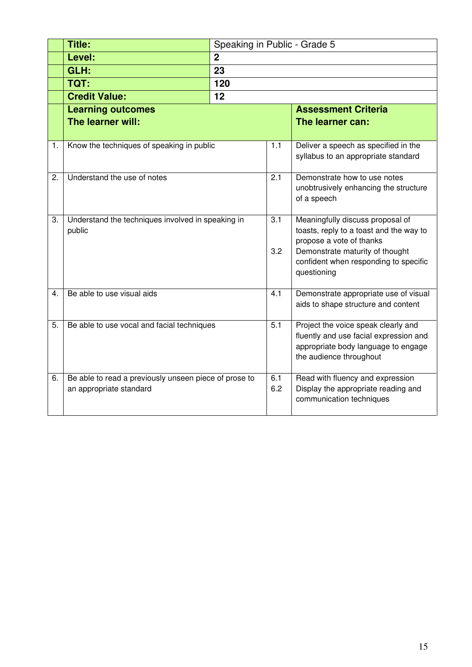|    | <b>Title:</b>                                         | Speaking in Public - Grade 5 |     |                                                                             |
|----|-------------------------------------------------------|------------------------------|-----|-----------------------------------------------------------------------------|
|    | Level:                                                | $\overline{2}$               |     |                                                                             |
|    | GLH:                                                  | 23                           |     |                                                                             |
|    | TQT:                                                  | 120                          |     |                                                                             |
|    | <b>Credit Value:</b>                                  | 12                           |     |                                                                             |
|    | <b>Learning outcomes</b>                              |                              |     | <b>Assessment Criteria</b>                                                  |
|    | The learner will:                                     |                              |     | The learner can:                                                            |
|    |                                                       |                              |     |                                                                             |
| 1. | Know the techniques of speaking in public             |                              | 1.1 | Deliver a speech as specified in the<br>syllabus to an appropriate standard |
|    |                                                       |                              |     |                                                                             |
| 2. | Understand the use of notes                           |                              | 2.1 | Demonstrate how to use notes                                                |
|    |                                                       |                              |     | unobtrusively enhancing the structure                                       |
|    |                                                       |                              |     | of a speech                                                                 |
| 3. | Understand the techniques involved in speaking in     |                              | 3.1 | Meaningfully discuss proposal of                                            |
|    | public                                                |                              |     | toasts, reply to a toast and the way to                                     |
|    |                                                       |                              |     | propose a vote of thanks                                                    |
|    |                                                       |                              | 3.2 | Demonstrate maturity of thought<br>confident when responding to specific    |
|    |                                                       |                              |     | questioning                                                                 |
|    |                                                       |                              |     |                                                                             |
| 4. | Be able to use visual aids                            |                              | 4.1 | Demonstrate appropriate use of visual                                       |
|    |                                                       |                              |     | aids to shape structure and content                                         |
| 5. | Be able to use vocal and facial techniques            |                              | 5.1 | Project the voice speak clearly and                                         |
|    |                                                       |                              |     | fluently and use facial expression and                                      |
|    |                                                       |                              |     | appropriate body language to engage                                         |
|    |                                                       |                              |     | the audience throughout                                                     |
| 6. | Be able to read a previously unseen piece of prose to |                              | 6.1 | Read with fluency and expression                                            |
|    | an appropriate standard                               |                              | 6.2 | Display the appropriate reading and                                         |
|    |                                                       |                              |     | communication techniques                                                    |
|    |                                                       |                              |     |                                                                             |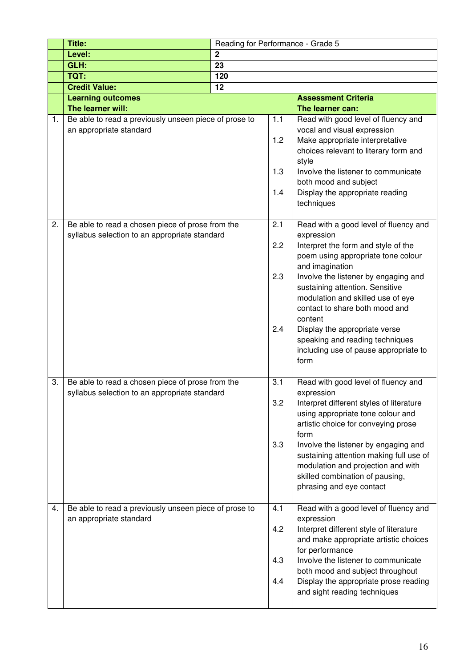|    | Title:                                                                                            | Reading for Performance - Grade 5 |                          |                                                                                                                                                                                                                                                                                                                                                                                                                                       |
|----|---------------------------------------------------------------------------------------------------|-----------------------------------|--------------------------|---------------------------------------------------------------------------------------------------------------------------------------------------------------------------------------------------------------------------------------------------------------------------------------------------------------------------------------------------------------------------------------------------------------------------------------|
|    | Level:                                                                                            | $\overline{2}$                    |                          |                                                                                                                                                                                                                                                                                                                                                                                                                                       |
|    | GLH:                                                                                              | 23                                |                          |                                                                                                                                                                                                                                                                                                                                                                                                                                       |
|    | TQT:                                                                                              | 120                               |                          |                                                                                                                                                                                                                                                                                                                                                                                                                                       |
|    | <b>Credit Value:</b>                                                                              | 12                                |                          |                                                                                                                                                                                                                                                                                                                                                                                                                                       |
|    | <b>Learning outcomes</b>                                                                          |                                   |                          | <b>Assessment Criteria</b>                                                                                                                                                                                                                                                                                                                                                                                                            |
|    | The learner will:                                                                                 |                                   |                          | The learner can:                                                                                                                                                                                                                                                                                                                                                                                                                      |
| 1. | Be able to read a previously unseen piece of prose to<br>an appropriate standard                  |                                   | 1.1<br>1.2<br>1.3<br>1.4 | Read with good level of fluency and<br>vocal and visual expression<br>Make appropriate interpretative<br>choices relevant to literary form and<br>style<br>Involve the listener to communicate<br>both mood and subject<br>Display the appropriate reading<br>techniques                                                                                                                                                              |
| 2. | Be able to read a chosen piece of prose from the<br>syllabus selection to an appropriate standard |                                   | 2.1<br>2.2<br>2.3<br>2.4 | Read with a good level of fluency and<br>expression<br>Interpret the form and style of the<br>poem using appropriate tone colour<br>and imagination<br>Involve the listener by engaging and<br>sustaining attention. Sensitive<br>modulation and skilled use of eye<br>contact to share both mood and<br>content<br>Display the appropriate verse<br>speaking and reading techniques<br>including use of pause appropriate to<br>form |
| 3. | Be able to read a chosen piece of prose from the<br>syllabus selection to an appropriate standard |                                   | 3.1<br>3.2<br>3.3        | Read with good level of fluency and<br>expression<br>Interpret different styles of literature<br>using appropriate tone colour and<br>artistic choice for conveying prose<br>form<br>Involve the listener by engaging and<br>sustaining attention making full use of<br>modulation and projection and with<br>skilled combination of pausing,<br>phrasing and eye contact                                                             |
| 4. | Be able to read a previously unseen piece of prose to<br>an appropriate standard                  |                                   | 4.1<br>4.2<br>4.3<br>4.4 | Read with a good level of fluency and<br>expression<br>Interpret different style of literature<br>and make appropriate artistic choices<br>for performance<br>Involve the listener to communicate<br>both mood and subject throughout<br>Display the appropriate prose reading<br>and sight reading techniques                                                                                                                        |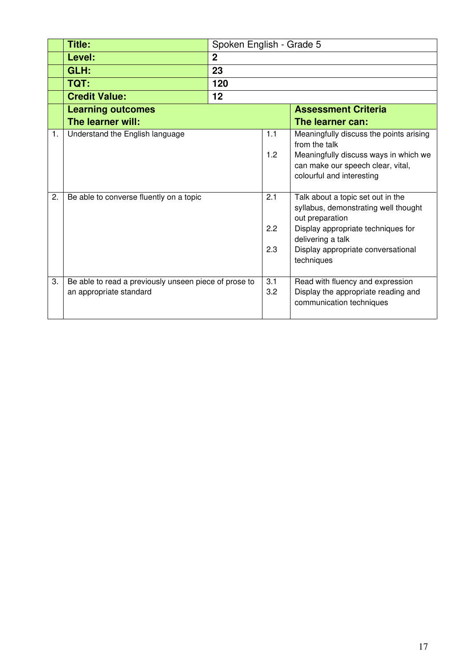|    | <b>Title:</b>                                         | Spoken English - Grade 5   |     |                                                                                                         |
|----|-------------------------------------------------------|----------------------------|-----|---------------------------------------------------------------------------------------------------------|
|    | Level:                                                | 2                          |     |                                                                                                         |
|    | GLH:                                                  | 23                         |     |                                                                                                         |
|    | TQT:                                                  | 120                        |     |                                                                                                         |
|    | <b>Credit Value:</b>                                  | 12                         |     |                                                                                                         |
|    | <b>Learning outcomes</b>                              | <b>Assessment Criteria</b> |     |                                                                                                         |
|    | The learner will:                                     |                            |     | The learner can:                                                                                        |
| 1. | Understand the English language                       |                            | 1.1 | Meaningfully discuss the points arising<br>from the talk                                                |
|    |                                                       |                            | 1.2 | Meaningfully discuss ways in which we<br>can make our speech clear, vital,<br>colourful and interesting |
| 2. | Be able to converse fluently on a topic               |                            | 2.1 | Talk about a topic set out in the<br>syllabus, demonstrating well thought<br>out preparation            |
|    |                                                       |                            | 2.2 | Display appropriate techniques for<br>delivering a talk                                                 |
|    |                                                       |                            | 2.3 | Display appropriate conversational<br>techniques                                                        |
| 3. | Be able to read a previously unseen piece of prose to |                            | 3.1 | Read with fluency and expression                                                                        |
|    | an appropriate standard                               |                            | 3.2 | Display the appropriate reading and<br>communication techniques                                         |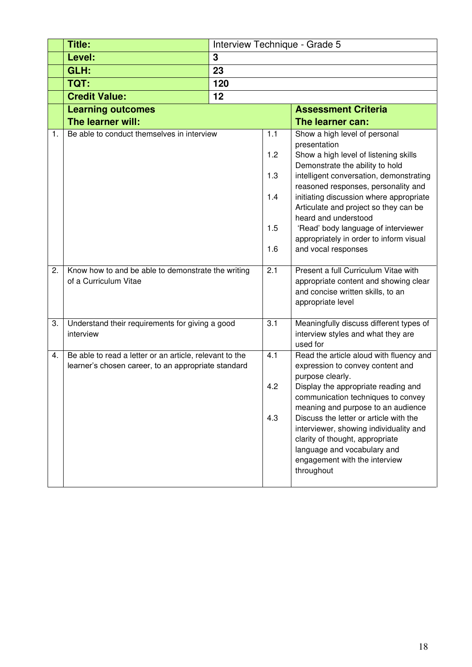|    | <b>Title:</b>                                                                                                  | Interview Technique - Grade 5 |                   |                                                                                                                                                                                                   |
|----|----------------------------------------------------------------------------------------------------------------|-------------------------------|-------------------|---------------------------------------------------------------------------------------------------------------------------------------------------------------------------------------------------|
|    | Level:                                                                                                         | 3                             |                   |                                                                                                                                                                                                   |
|    | GLH:                                                                                                           | 23                            |                   |                                                                                                                                                                                                   |
|    | TQT:                                                                                                           | 120                           |                   |                                                                                                                                                                                                   |
|    | <b>Credit Value:</b>                                                                                           | 12                            |                   |                                                                                                                                                                                                   |
|    | <b>Learning outcomes</b>                                                                                       |                               |                   | <b>Assessment Criteria</b>                                                                                                                                                                        |
|    | The learner will:                                                                                              |                               |                   | The learner can:                                                                                                                                                                                  |
| 1. | Be able to conduct themselves in interview                                                                     |                               | 1.1<br>1.2<br>1.3 | Show a high level of personal<br>presentation<br>Show a high level of listening skills<br>Demonstrate the ability to hold<br>intelligent conversation, demonstrating                              |
|    |                                                                                                                |                               | 1.4<br>1.5        | reasoned responses, personality and<br>initiating discussion where appropriate<br>Articulate and project so they can be<br>heard and understood<br>'Read' body language of interviewer            |
|    |                                                                                                                |                               | 1.6               | appropriately in order to inform visual<br>and vocal responses                                                                                                                                    |
| 2. | Know how to and be able to demonstrate the writing<br>of a Curriculum Vitae                                    |                               | 2.1               | Present a full Curriculum Vitae with<br>appropriate content and showing clear<br>and concise written skills, to an<br>appropriate level                                                           |
| 3. | Understand their requirements for giving a good<br>interview                                                   |                               | 3.1               | Meaningfully discuss different types of<br>interview styles and what they are<br>used for                                                                                                         |
| 4. | Be able to read a letter or an article, relevant to the<br>learner's chosen career, to an appropriate standard |                               | 4.1               | Read the article aloud with fluency and<br>expression to convey content and<br>purpose clearly.                                                                                                   |
|    |                                                                                                                |                               | 4.2               | Display the appropriate reading and<br>communication techniques to convey<br>meaning and purpose to an audience                                                                                   |
|    |                                                                                                                |                               | 4.3               | Discuss the letter or article with the<br>interviewer, showing individuality and<br>clarity of thought, appropriate<br>language and vocabulary and<br>engagement with the interview<br>throughout |